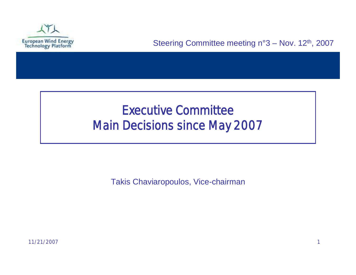

### Executive Committee Main Decisions since May 2007

Takis Chaviaropoulos, Vice-chairman

11/21/2007 1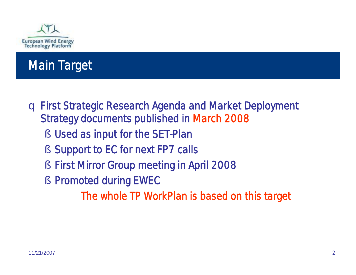

### Main Target

- q First Strategic Research Agenda and Market Deployment Strategy documents published in March 2008
	- § Used as input for the SET-Plan
	- § Support to EC for next FP7 calls
	- § First Mirror Group meeting in April 2008
	- § Promoted during EWEC

The whole TP WorkPlan is based on this target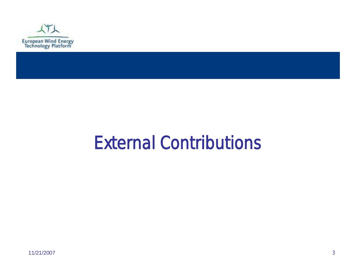

## External Contributions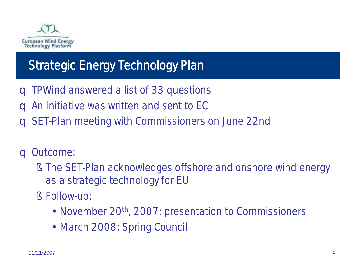

### Strategic Energy Technology Plan

- q TPWind answered a list of 33 questions
- q An Initiative was written and sent to EC
- q SET-Plan meeting with Commissioners on June 22nd

#### q Outcome:

- § The SET-Plan acknowledges offshore and onshore wind energy as a strategic technology for EU
- § Follow-up:
	- November 20<sup>th</sup>, 2007: presentation to Commissioners
	- March 2008: Spring Council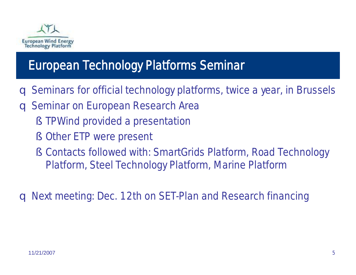

### European Technology Platforms Seminar

- q Seminars for official technology platforms, twice a year, in Brussels
- q Seminar on European Research Area
	- § TPWind provided a presentation
	- § Other ETP were present
	- § Contacts followed with: SmartGrids Platform, Road Technology Platform, Steel Technology Platform, Marine Platform

q Next meeting: Dec. 12th on SET-Plan and Research financing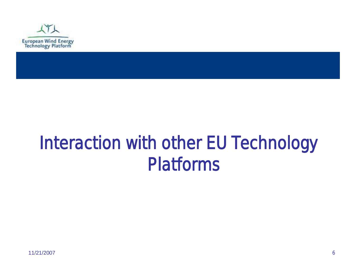

## Interaction with other EU Technology Platforms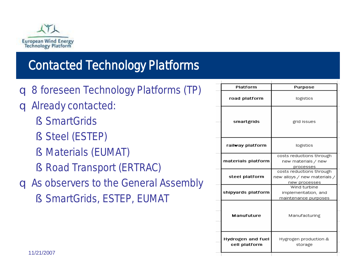

### Contacted Technology Platforms

- q 8 foreseen Technology Platforms (TP)
- q Already contacted:
	- § SmartGrids
	- § Steel (ESTEP)
	- § Materials (EUMAT)
	- § Road Transport (ERTRAC)
- q As observers to the General Assembly
	- § SmartGrids, ESTEP, EUMAT

| 8 foreseen Technology Platforms (TP)                                                                                                                       | Platform                           | <b>Purpose</b>                                                            |
|------------------------------------------------------------------------------------------------------------------------------------------------------------|------------------------------------|---------------------------------------------------------------------------|
|                                                                                                                                                            | road platform                      | logistics                                                                 |
| Already contacted:<br>§ SmartGrids                                                                                                                         | smartgrids                         | grid issues                                                               |
| § Steel (ESTEP)                                                                                                                                            | railway platform                   | logistics                                                                 |
| <b>Materials (EUMAT)</b><br>$\mathcal{S}_{\mathcal{C}}$<br>§ Road Transport (ERTRAC)<br>As observers to the General Assembly<br>§ SmartGrids, ESTEP, EUMAT | materials platform                 | costs reductions through<br>new materials / new<br>processes              |
|                                                                                                                                                            | steel platform                     | costs reductions through<br>new alloys / new materials /<br>new processes |
|                                                                                                                                                            | shipyards platform                 | Wind turbine<br>implementation, and<br>maintenance purposes               |
|                                                                                                                                                            | <b>Manufuture</b>                  | Manufacturing                                                             |
| 11/21/2007                                                                                                                                                 | Hydrogen and fuel<br>cell platform | Hygrogen production &<br>storage                                          |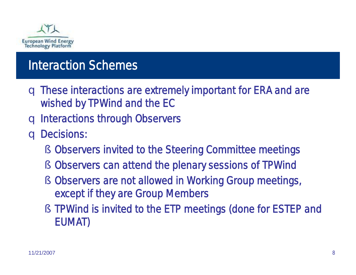

### Interaction Schemes

- q These interactions are extremely important for ERA and are wished by TPWind and the EC
- q Interactions through Observers
- q Decisions:
	- § Observers invited to the Steering Committee meetings
	- § Observers can attend the plenary sessions of TPWind
	- § Observers are not allowed in Working Group meetings, except if they are Group Members
	- § TPWind is invited to the ETP meetings (done for ESTEP and EUMAT)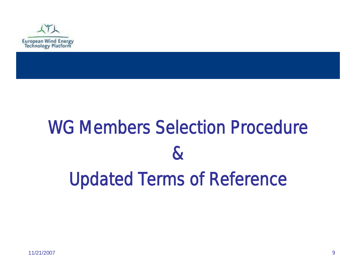

# WG Members Selection Procedure & Updated Terms of Reference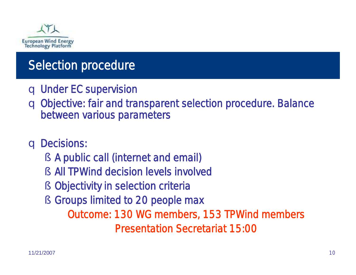

### Selection procedure

- q Under EC supervision
- q Objective: fair and transparent selection procedure. Balance between various parameters
- q Decisions:
	- § A public call (internet and email)
	- § All TPWind decision levels involved
	- § Objectivity in selection criteria
	- § Groups limited to 20 people max

Outcome: 130 WG members, 153 TPWind members *Presentation Secretariat 15:00*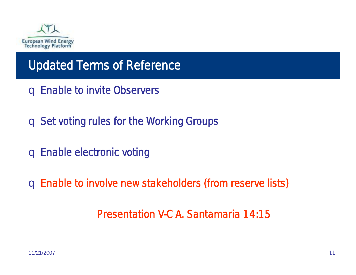

### Updated Terms of Reference

- q Enable to invite Observers
- q Set voting rules for the Working Groups
- q Enable electronic voting

q Enable to involve new stakeholders (from reserve lists)

*Presentation V-C A. Santamaria 14:15*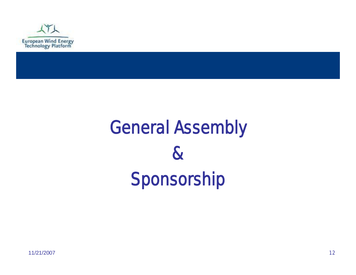

# General Assembly & Sponsorship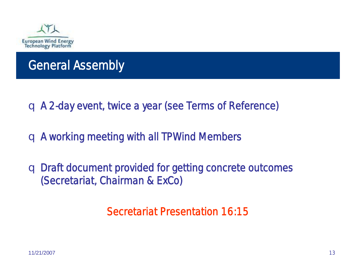

### General Assembly

- q A 2-day event, twice a year (see Terms of Reference)
- q A working meeting with all TPWind Members
- q Draft document provided for getting concrete outcomes (*Secretariat, Chairman & ExCo)*

*Secretariat Presentation 16:15*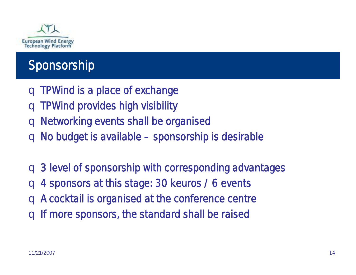

### Sponsorship

- q TPWind is a place of exchange
- q TPWind provides high visibility
- q Networking events shall be organised
- q No budget is available –sponsorship is desirable

q 3 level of sponsorship with corresponding advantages q 4 sponsors at this stage: 30 keuros / 6 events q A cocktail is organised at the conference centre q If more sponsors, the standard shall be raised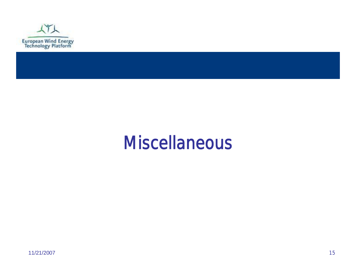

### **Miscellaneous**